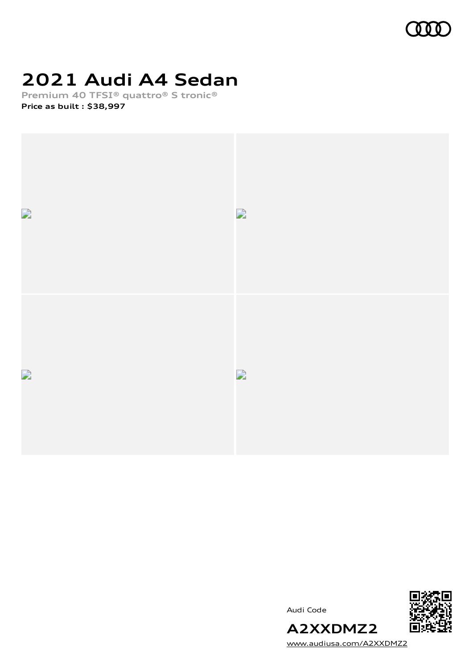

# **2021 Audi A4 Sedan**

**Premium 40 TFSI® quattro® S tronic® Price as built [:](#page-9-0) \$38,997**



Audi Code



[www.audiusa.com/A2XXDMZ2](https://www.audiusa.com/A2XXDMZ2)

**A2XXDMZ2**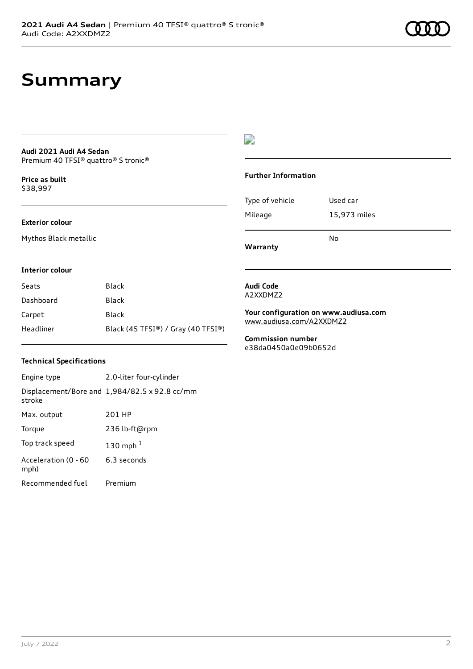## **Summary**

#### **Audi 2021 Audi A4 Sedan** Premium 40 TFSI® quattro® S tronic®

**Price as buil[t](#page-9-0)** \$38,997

#### **Exterior colour**

Mythos Black metallic

#### $\overline{\phantom{a}}$

#### **Further Information**

|                 | N٥           |
|-----------------|--------------|
| Mileage         | 15,973 miles |
| Type of vehicle | Used car     |

**Warranty**

#### **Interior colour**

| Seats     | Black                              |
|-----------|------------------------------------|
| Dashboard | Black                              |
| Carpet    | Black                              |
| Headliner | Black (45 TFSI®) / Gray (40 TFSI®) |

#### **Technical Specifications**

| Engine type                  | 2.0-liter four-cylinder                       |
|------------------------------|-----------------------------------------------|
| stroke                       | Displacement/Bore and 1,984/82.5 x 92.8 cc/mm |
| Max. output                  | 201 HP                                        |
| Torque                       | 236 lb-ft@rpm                                 |
| Top track speed              | 130 mph $1$                                   |
| Acceleration (0 - 60<br>mph) | 6.3 seconds                                   |
| Recommended fuel             | Premium                                       |

#### **Audi Code** A2XXDMZ2

**Your configuration on www.audiusa.com** [www.audiusa.com/A2XXDMZ2](https://www.audiusa.com/A2XXDMZ2)

**Commission number** e38da0450a0e09b0652d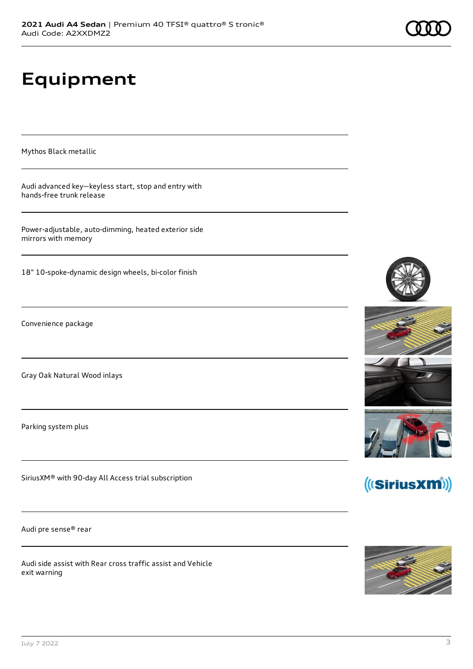# **Equipment**

Mythos Black metallic

Audi advanced key—keyless start, stop and entry with hands-free trunk release

Power-adjustable, auto-dimming, heated exterior side mirrors with memory

18" 10-spoke-dynamic design wheels, bi-color finish

Convenience package

Gray Oak Natural Wood inlays

Parking system plus

SiriusXM® with 90-day All Access trial subscription

Audi pre sense® rear

Audi side assist with Rear cross traffic assist and Vehicle exit warning







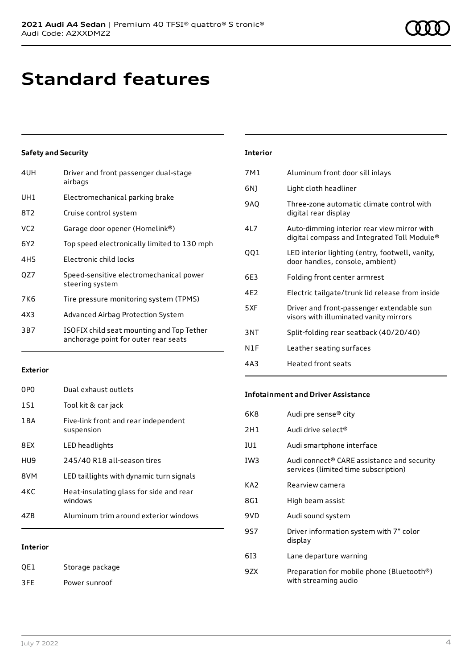# **Standard features**

#### **Safety and Security**

| 4UH             | Driver and front passenger dual-stage<br>airbags                                  |
|-----------------|-----------------------------------------------------------------------------------|
| UH1             | Electromechanical parking brake                                                   |
| 8T <sub>2</sub> | Cruise control system                                                             |
| VC <sub>2</sub> | Garage door opener (Homelink®)                                                    |
| 6Y <sub>2</sub> | Top speed electronically limited to 130 mph                                       |
| 4H <sub>5</sub> | Electronic child locks                                                            |
| OZ7             | Speed-sensitive electromechanical power<br>steering system                        |
| 7K6             | Tire pressure monitoring system (TPMS)                                            |
| 4X3             | Advanced Airbag Protection System                                                 |
| 3B7             | ISOFIX child seat mounting and Top Tether<br>anchorage point for outer rear seats |

#### **Interior** 7M1 Aluminum front door sill inlays 6NJ Light cloth headliner 9AQ Three-zone automatic climate control with digital rear display 4L7 Auto-dimming interior rear view mirror with digital compass and Integrated Toll Module® QQ1 LED interior lighting (entry, footwell, vanity, door handles, console, ambient) 6E3 Folding front center armrest 4E2 Electric tailgate/trunk lid release from inside 5XF Driver and front-passenger extendable sun visors with illuminated vanity mirrors 3NT Split-folding rear seatback (40/20/40) N1F Leather seating surfaces 4A3 Heated front seats

#### **Exterior**

| 0PO   | Dual exhaust outlets                               |
|-------|----------------------------------------------------|
| 1S1   | Tool kit & car jack                                |
| 1 B A | Five-link front and rear independent<br>suspension |
| 8FX   | LED headlights                                     |
| HU9   | 245/40 R18 all-season tires                        |
| 8VM   | LED taillights with dynamic turn signals           |
| 4KC   | Heat-insulating glass for side and rear<br>windows |
| 47B   | Aluminum trim around exterior windows              |
|       |                                                    |

#### **Interior**

QE1 Storage package 3FE Power sunroof

#### **Infotainment and Driver Assistance**

| 6K8 | Audi pre sense® city                                                                           |
|-----|------------------------------------------------------------------------------------------------|
| 2H1 | Audi drive select®                                                                             |
| IU1 | Audi smartphone interface                                                                      |
| IW3 | Audi connect <sup>®</sup> CARE assistance and security<br>services (limited time subscription) |
| KA2 | Rearview camera                                                                                |
| 8G1 | High beam assist                                                                               |
| 9VD | Audi sound system                                                                              |
| 9S7 | Driver information system with 7" color<br>display                                             |
| 613 | Lane departure warning                                                                         |
| 9ZX | Preparation for mobile phone (Bluetooth®)<br>with streaming audio                              |
|     |                                                                                                |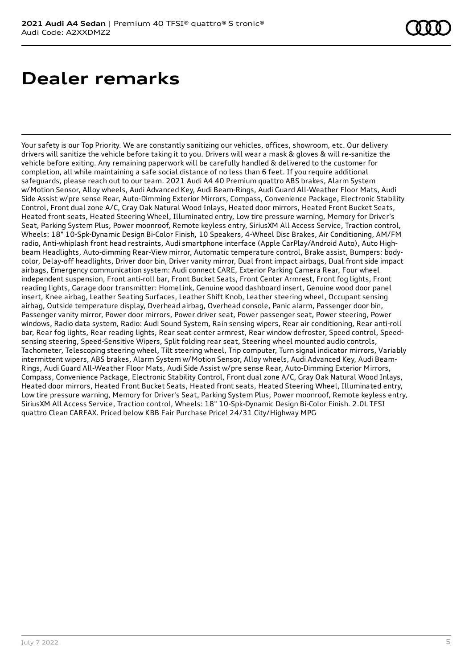## **Dealer remarks**

Your safety is our Top Priority. We are constantly sanitizing our vehicles, offices, showroom, etc. Our delivery drivers will sanitize the vehicle before taking it to you. Drivers will wear a mask & gloves & will re-sanitize the vehicle before exiting. Any remaining paperwork will be carefully handled & delivered to the customer for completion, all while maintaining a safe social distance of no less than 6 feet. If you require additional safeguards, please reach out to our team. 2021 Audi A4 40 Premium quattro ABS brakes, Alarm System w/Motion Sensor, Alloy wheels, Audi Advanced Key, Audi Beam-Rings, Audi Guard All-Weather Floor Mats, Audi Side Assist w/pre sense Rear, Auto-Dimming Exterior Mirrors, Compass, Convenience Package, Electronic Stability Control, Front dual zone A/C, Gray Oak Natural Wood Inlays, Heated door mirrors, Heated Front Bucket Seats, Heated front seats, Heated Steering Wheel, Illuminated entry, Low tire pressure warning, Memory for Driver's Seat, Parking System Plus, Power moonroof, Remote keyless entry, SiriusXM All Access Service, Traction control, Wheels: 18" 10-Spk-Dynamic Design Bi-Color Finish, 10 Speakers, 4-Wheel Disc Brakes, Air Conditioning, AM/FM radio, Anti-whiplash front head restraints, Audi smartphone interface (Apple CarPlay/Android Auto), Auto Highbeam Headlights, Auto-dimming Rear-View mirror, Automatic temperature control, Brake assist, Bumpers: bodycolor, Delay-off headlights, Driver door bin, Driver vanity mirror, Dual front impact airbags, Dual front side impact airbags, Emergency communication system: Audi connect CARE, Exterior Parking Camera Rear, Four wheel independent suspension, Front anti-roll bar, Front Bucket Seats, Front Center Armrest, Front fog lights, Front reading lights, Garage door transmitter: HomeLink, Genuine wood dashboard insert, Genuine wood door panel insert, Knee airbag, Leather Seating Surfaces, Leather Shift Knob, Leather steering wheel, Occupant sensing airbag, Outside temperature display, Overhead airbag, Overhead console, Panic alarm, Passenger door bin, Passenger vanity mirror, Power door mirrors, Power driver seat, Power passenger seat, Power steering, Power windows, Radio data system, Radio: Audi Sound System, Rain sensing wipers, Rear air conditioning, Rear anti-roll bar, Rear fog lights, Rear reading lights, Rear seat center armrest, Rear window defroster, Speed control, Speedsensing steering, Speed-Sensitive Wipers, Split folding rear seat, Steering wheel mounted audio controls, Tachometer, Telescoping steering wheel, Tilt steering wheel, Trip computer, Turn signal indicator mirrors, Variably intermittent wipers, ABS brakes, Alarm System w/Motion Sensor, Alloy wheels, Audi Advanced Key, Audi Beam-Rings, Audi Guard All-Weather Floor Mats, Audi Side Assist w/pre sense Rear, Auto-Dimming Exterior Mirrors, Compass, Convenience Package, Electronic Stability Control, Front dual zone A/C, Gray Oak Natural Wood Inlays, Heated door mirrors, Heated Front Bucket Seats, Heated front seats, Heated Steering Wheel, Illuminated entry, Low tire pressure warning, Memory for Driver's Seat, Parking System Plus, Power moonroof, Remote keyless entry, SiriusXM All Access Service, Traction control, Wheels: 18" 10-Spk-Dynamic Design Bi-Color Finish. 2.0L TFSI quattro Clean CARFAX. Priced below KBB Fair Purchase Price! 24/31 City/Highway MPG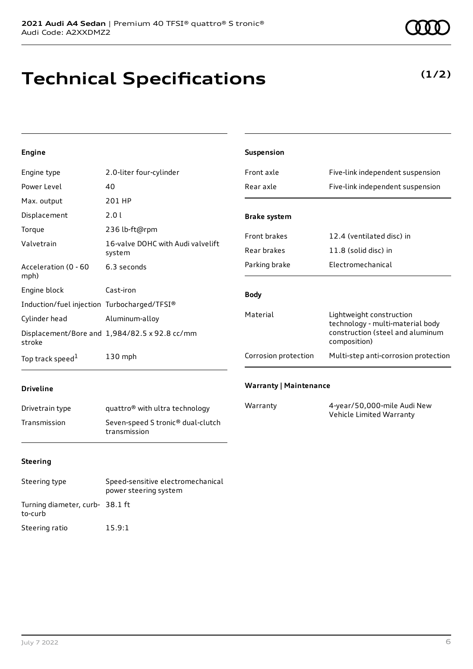# **Technical Specifications**

#### **Engine**

| Engine type                                 | 2.0-liter four-cylinder                       | Front axle           | Five-link independent suspension                             |
|---------------------------------------------|-----------------------------------------------|----------------------|--------------------------------------------------------------|
| Power Level                                 | 40                                            | Rear axle            | Five-link independent suspension                             |
| Max. output                                 | 201 HP                                        |                      |                                                              |
| Displacement                                | 2.0 l                                         | <b>Brake system</b>  |                                                              |
| Torque                                      | 236 lb-ft@rpm                                 | Front brakes         | 12.4 (ventilated disc) in                                    |
| Valvetrain                                  | 16-valve DOHC with Audi valvelift             |                      |                                                              |
| system                                      |                                               | Rear brakes          | 11.8 (solid disc) in                                         |
| Acceleration (0 - 60<br>mph)                | 6.3 seconds                                   | Parking brake        | Electromechanical                                            |
| Engine block                                | Cast-iron                                     | <b>Body</b>          |                                                              |
| Induction/fuel injection Turbocharged/TFSI® |                                               |                      |                                                              |
| Cylinder head                               | Aluminum-alloy                                | Material             | Lightweight construction<br>technology - multi-material body |
| stroke                                      | Displacement/Bore and 1,984/82.5 x 92.8 cc/mm |                      | construction (steel and aluminum<br>composition)             |
| Top track speed <sup>1</sup>                | 130 mph                                       | Corrosion protection | Multi-step anti-corrosion protection                         |

**Suspension**

#### **Driveline**

| Drivetrain type | quattro <sup>®</sup> with ultra technology                    |
|-----------------|---------------------------------------------------------------|
| Transmission    | Seven-speed S tronic <sup>®</sup> dual-clutch<br>transmission |

#### **Warranty | Maintenance**

| Warranty | 4-year/50,000-mile Audi New |
|----------|-----------------------------|
|          | Vehicle Limited Warranty    |

#### **Steering**

| Steering type                              | Speed-sensitive electromechanical<br>power steering system |
|--------------------------------------------|------------------------------------------------------------|
| Turning diameter, curb- 38.1 ft<br>to-curb |                                                            |
| Steering ratio                             | 15.9:1                                                     |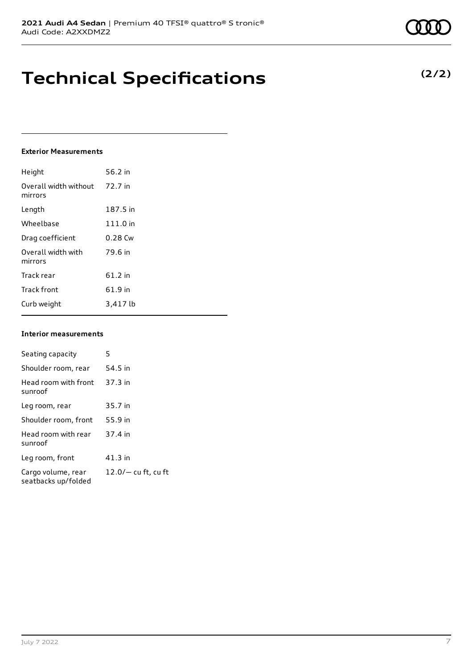# **Technical Specifications**

#### **Exterior Measurements**

| Height                           | 56.2 in   |
|----------------------------------|-----------|
| Overall width without<br>mirrors | 72.7 in   |
| Length                           | 187.5 in  |
| Wheelbase                        | 111.0 in  |
| Drag coefficient                 | $0.28$ Cw |
| Overall width with<br>mirrors    | 79.6 in   |
| Track rear                       | 61.2 in   |
| <b>Track front</b>               | 61.9 in   |
| Curb weight                      | 3.417 lb  |

#### **Interior measurements**

| Seating capacity                          | 5                     |
|-------------------------------------------|-----------------------|
| Shoulder room, rear                       | 54.5 in               |
| Head room with front<br>sunroof           | 37.3 in               |
| Leg room, rear                            | 35.7 in               |
| Shoulder room, front                      | 55.9 in               |
| Head room with rear<br>sunroof            | 37.4 in               |
| Leg room, front                           | 41.3 in               |
| Cargo volume, rear<br>seatbacks up/folded | $12.0/-$ cu ft, cu ft |

**(2/2)**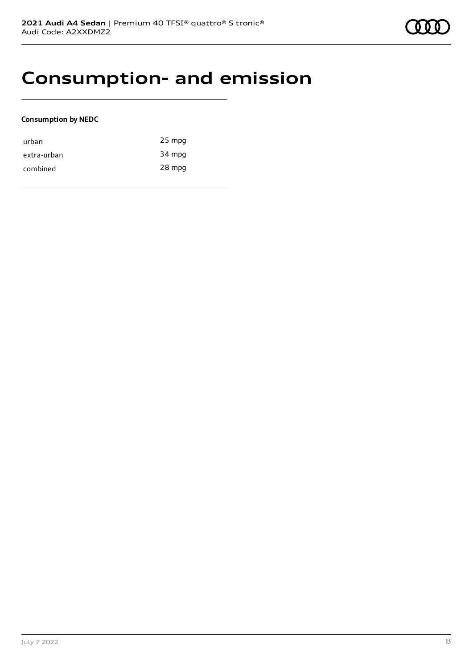### **Consumption- and emission**

#### **Consumption by NEDC**

| urban       | $25$ mpg |
|-------------|----------|
| extra-urban | 34 mpg   |
| combined    | 28 mpg   |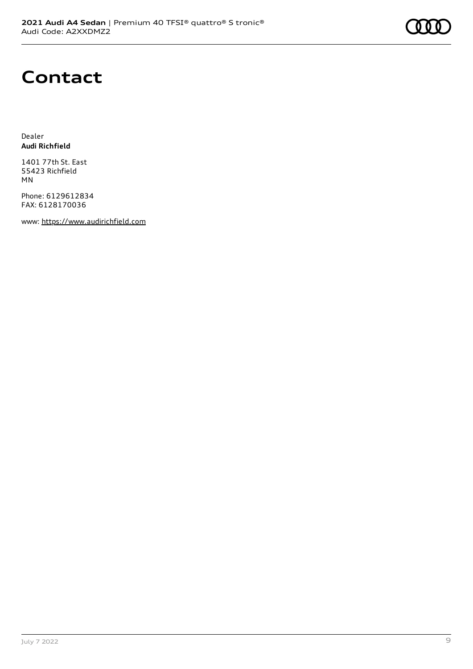

### **Contact**

Dealer **Audi Richfield**

1401 77th St. East 55423 Richfield MN

Phone: 6129612834 FAX: 6128170036

www: [https://www.audirichfield.com](https://www.audirichfield.com/)